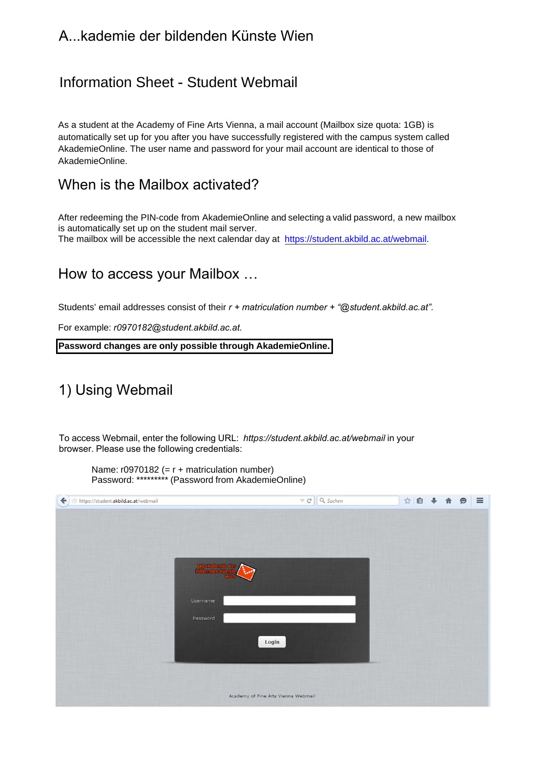### A...kademie der bildenden Künste Wien

## Information Sheet - Student Webmail

As a student at the Academy of Fine Arts Vienna, a mail account (Mailbox size quota: 1GB) is automatically set up for you after you have successfully registered with the campus system called AkademieOnline. The user name and password for your mail account are identical to those of AkademieOnline.

#### When is the Mailbox activated?

After redeeming the PIN-code from AkademieOnline and selecting a valid password, a new mailbox is automatically set up on the student mail server. The mailbox will be accessible the next calendar day at https://student.akbild.ac.at/webmail.

### How to access your Mailbox …

Students' email addresses consist of their *r + matriculation number + "@student.akbild.ac.at"*.

For example: *r0970182@student.akbild.ac.at.*

**Password changes are only possible through AkademieOnline.**

# 1) Using Webmail

To access Webmail, enter the following URL: *https://student.akbild.ac.at/webmail* in your browser. Please use the following credentials:

 $\nabla C$  Q, Suchen https://student.akbild.ac.at/webmail ☆自→  $\equiv$ 合  $\bullet$ Login Academy of Fine Arts Vienna Webmail

Name:  $r0970182$  (=  $r +$  matriculation number) Password: \*\*\*\*\*\*\*\*\* (Password from AkademieOnline)